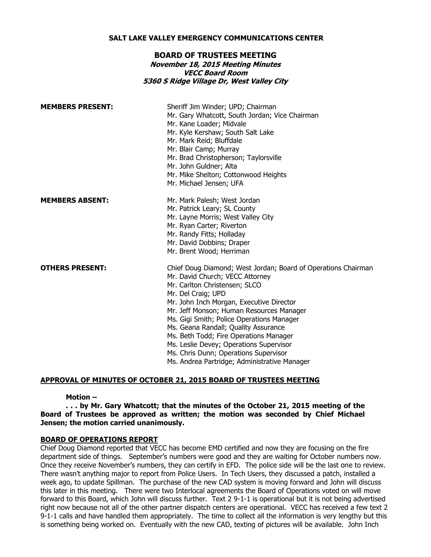### **SALT LAKE VALLEY EMERGENCY COMMUNICATIONS CENTER**

## **BOARD OF TRUSTEES MEETING**

# **November 18, 2015 Meeting Minutes VECC Board Room 5360 S Ridge Village Dr, West Valley City**

| <b>MEMBERS PRESENT:</b> | Sheriff Jim Winder; UPD; Chairman<br>Mr. Gary Whatcott, South Jordan; Vice Chairman<br>Mr. Kane Loader; Midvale<br>Mr. Kyle Kershaw; South Salt Lake<br>Mr. Mark Reid; Bluffdale<br>Mr. Blair Camp; Murray<br>Mr. Brad Christopherson; Taylorsville<br>Mr. John Guldner; Alta<br>Mr. Mike Shelton; Cottonwood Heights<br>Mr. Michael Jensen; UFA                                                                                                                                                                   |
|-------------------------|--------------------------------------------------------------------------------------------------------------------------------------------------------------------------------------------------------------------------------------------------------------------------------------------------------------------------------------------------------------------------------------------------------------------------------------------------------------------------------------------------------------------|
| <b>MEMBERS ABSENT:</b>  | Mr. Mark Palesh; West Jordan<br>Mr. Patrick Leary; SL County<br>Mr. Layne Morris; West Valley City<br>Mr. Ryan Carter; Riverton<br>Mr. Randy Fitts; Holladay<br>Mr. David Dobbins; Draper<br>Mr. Brent Wood; Herriman                                                                                                                                                                                                                                                                                              |
| <b>OTHERS PRESENT:</b>  | Chief Doug Diamond; West Jordan; Board of Operations Chairman<br>Mr. David Church; VECC Attorney<br>Mr. Carlton Christensen; SLCO<br>Mr. Del Craig; UPD<br>Mr. John Inch Morgan, Executive Director<br>Mr. Jeff Monson; Human Resources Manager<br>Ms. Gigi Smith; Police Operations Manager<br>Ms. Geana Randall; Quality Assurance<br>Ms. Beth Todd; Fire Operations Manager<br>Ms. Leslie Devey; Operations Supervisor<br>Ms. Chris Dunn; Operations Supervisor<br>Ms. Andrea Partridge; Administrative Manager |

# **APPROVAL OF MINUTES OF OCTOBER 21, 2015 BOARD OF TRUSTEES MEETING**

### **Motion –**

**. . . by Mr. Gary Whatcott; that the minutes of the October 21, 2015 meeting of the Board of Trustees be approved as written; the motion was seconded by Chief Michael Jensen; the motion carried unanimously.**

### **BOARD OF OPERATIONS REPORT**

Chief Doug Diamond reported that VECC has become EMD certified and now they are focusing on the fire department side of things. September's numbers were good and they are waiting for October numbers now. Once they receive November's numbers, they can certify in EFD. The police side will be the last one to review. There wasn't anything major to report from Police Users. In Tech Users, they discussed a patch, installed a week ago, to update Spillman. The purchase of the new CAD system is moving forward and John will discuss this later in this meeting. There were two Interlocal agreements the Board of Operations voted on will move forward to this Board, which John will discuss further. Text 2 9-1-1 is operational but it is not being advertised right now because not all of the other partner dispatch centers are operational. VECC has received a few text 2 9-1-1 calls and have handled them appropriately. The time to collect all the information is very lengthy but this is something being worked on. Eventually with the new CAD, texting of pictures will be available. John Inch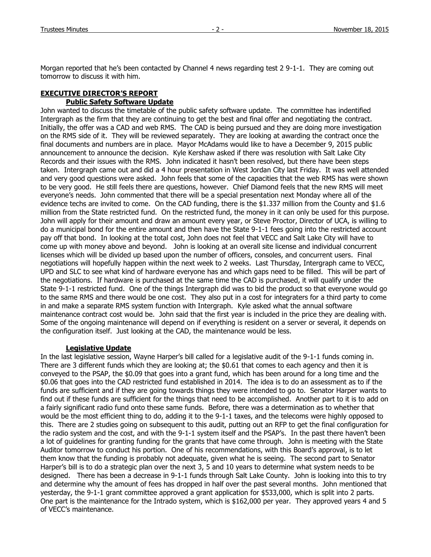Morgan reported that he's been contacted by Channel 4 news regarding test 2 9-1-1. They are coming out tomorrow to discuss it with him.

# **EXECUTIVE DIRECTOR'S REPORT Public Safety Software Update**

John wanted to discuss the timetable of the public safety software update. The committee has indentified Intergraph as the firm that they are continuing to get the best and final offer and negotiating the contract. Initially, the offer was a CAD and web RMS. The CAD is being pursued and they are doing more investigation on the RMS side of it. They will be reviewed separately. They are looking at awarding the contract once the final documents and numbers are in place. Mayor McAdams would like to have a December 9, 2015 public announcement to announce the decision. Kyle Kershaw asked if there was resolution with Salt Lake City Records and their issues with the RMS. John indicated it hasn't been resolved, but there have been steps taken. Intergraph came out and did a 4 hour presentation in West Jordan City last Friday. It was well attended and very good questions were asked. John feels that some of the capacities that the web RMS has were shown to be very good. He still feels there are questions, however. Chief Diamond feels that the new RMS will meet everyone's needs. John commented that there will be a special presentation next Monday where all of the evidence techs are invited to come. On the CAD funding, there is the \$1.337 million from the County and \$1.6 million from the State restricted fund. On the restricted fund, the money in it can only be used for this purpose. John will apply for their amount and draw an amount every year, or Steve Proctor, Director of UCA, is willing to do a municipal bond for the entire amount and then have the State 9-1-1 fees going into the restricted account pay off that bond. In looking at the total cost, John does not feel that VECC and Salt Lake City will have to come up with money above and beyond. John is looking at an overall site license and individual concurrent licenses which will be divided up based upon the number of officers, consoles, and concurrent users. Final negotiations will hopefully happen within the next week to 2 weeks. Last Thursday, Intergraph came to VECC, UPD and SLC to see what kind of hardware everyone has and which gaps need to be filled. This will be part of the negotiations. If hardware is purchased at the same time the CAD is purchased, it will qualify under the State 9-1-1 restricted fund. One of the things Intergraph did was to bid the product so that everyone would go to the same RMS and there would be one cost. They also put in a cost for integraters for a third party to come in and make a separate RMS system function with Intergraph. Kyle asked what the annual software maintenance contract cost would be. John said that the first year is included in the price they are dealing with. Some of the ongoing maintenance will depend on if everything is resident on a server or several, it depends on the configuration itself. Just looking at the CAD, the maintenance would be less.

# **Legislative Update**

In the last legislative session, Wayne Harper's bill called for a legislative audit of the 9-1-1 funds coming in. There are 3 different funds which they are looking at; the \$0.61 that comes to each agency and then it is conveyed to the PSAP, the \$0.09 that goes into a grant fund, which has been around for a long time and the \$0.06 that goes into the CAD restricted fund established in 2014. The idea is to do an assessment as to if the funds are sufficient and if they are going towards things they were intended to go to. Senator Harper wants to find out if these funds are sufficient for the things that need to be accomplished. Another part to it is to add on a fairly significant radio fund onto these same funds. Before, there was a determination as to whether that would be the most efficient thing to do, adding it to the 9-1-1 taxes, and the telecoms were highly opposed to this. There are 2 studies going on subsequent to this audit, putting out an RFP to get the final configuration for the radio system and the cost, and with the 9-1-1 system itself and the PSAP's. In the past there haven't been a lot of guidelines for granting funding for the grants that have come through. John is meeting with the State Auditor tomorrow to conduct his portion. One of his recommendations, with this Board's approval, is to let them know that the funding is probably not adequate, given what he is seeing. The second part to Senator Harper's bill is to do a strategic plan over the next 3, 5 and 10 years to determine what system needs to be designed. There has been a decrease in 9-1-1 funds through Salt Lake County. John is looking into this to try and determine why the amount of fees has dropped in half over the past several months. John mentioned that yesterday, the 9-1-1 grant committee approved a grant application for \$533,000, which is split into 2 parts. One part is the maintenance for the Intrado system, which is \$162,000 per year. They approved years 4 and 5 of VECC's maintenance.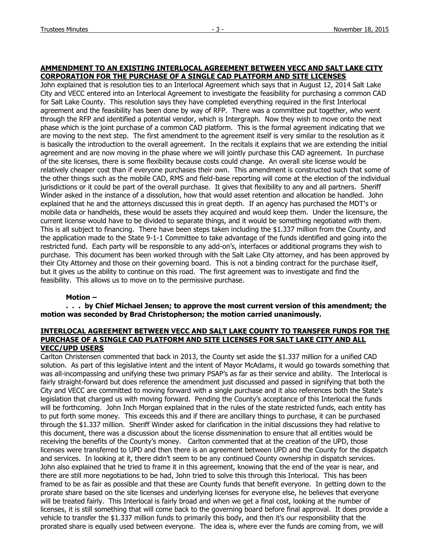## **AMMENDMENT TO AN EXISTING INTERLOCAL AGREEMENT BETWEEN VECC AND SALT LAKE CITY CORPORATION FOR THE PURCHASE OF A SINGLE CAD PLATFORM AND SITE LICENSES**

John explained that is resolution ties to an Interlocal Agreement which says that in August 12, 2014 Salt Lake City and VECC entered into an Interlocal Agreement to investigate the feasibility for purchasing a common CAD for Salt Lake County. This resolution says they have completed everything required in the first Interlocal agreement and the feasibility has been done by way of RFP. There was a committee put together, who went through the RFP and identified a potential vendor, which is Intergraph. Now they wish to move onto the next phase which is the joint purchase of a common CAD platform. This is the formal agreement indicating that we are moving to the next step. The first amendment to the agreement itself is very similar to the resolution as it is basically the introduction to the overall agreement. In the recitals it explains that we are extending the initial agreement and are now moving in the phase where we will jointly purchase this CAD agreement. In purchase of the site licenses, there is some flexibility because costs could change. An overall site license would be relatively cheaper cost than if everyone purchases their own. This amendment is constructed such that some of the other things such as the mobile CAD, RMS and field-base reporting will come at the election of the individual jurisdictions or it could be part of the overall purchase. It gives that flexibility to any and all partners. Sheriff Winder asked in the instance of a dissolution, how that would asset retention and allocation be handled. John explained that he and the attorneys discussed this in great depth. If an agency has purchased the MDT's or mobile data or handhelds, these would be assets they acquired and would keep them. Under the licensure, the current license would have to be divided to separate things, and it would be something negotiated with them. This is all subject to financing. There have been steps taken including the \$1.337 million from the County, and the application made to the State 9-1-1 Committee to take advantage of the funds identified and going into the restricted fund. Each party will be responsible to any add-on's, interfaces or additional programs they wish to purchase. This document has been worked through with the Salt Lake City attorney, and has been approved by their City Attorney and those on their governing board. This is not a binding contract for the purchase itself, but it gives us the ability to continue on this road. The first agreement was to investigate and find the feasibility. This allows us to move on to the permissive purchase.

### **Motion –**

**. . . by Chief Michael Jensen; to approve the most current version of this amendment; the motion was seconded by Brad Christopherson; the motion carried unanimously.**

### **INTERLOCAL AGREEMENT BETWEEN VECC AND SALT LAKE COUNTY TO TRANSFER FUNDS FOR THE PURCHASE OF A SINGLE CAD PLATFORM AND SITE LICENSES FOR SALT LAKE CITY AND ALL VECC/UPD USERS**

Carlton Christensen commented that back in 2013, the County set aside the \$1.337 million for a unified CAD solution. As part of this legislative intent and the intent of Mayor McAdams, it would go towards something that was all-incompassing and unifying these two primary PSAP's as far as their service and ability. The Interlocal is fairly straight-forward but does reference the amendment just discussed and passed in signifying that both the City and VECC are committed to moving forward with a single purchase and it also references both the State's legislation that charged us with moving forward. Pending the County's acceptance of this Interlocal the funds will be forthcoming. John Inch Morgan explained that in the rules of the state restricted funds, each entity has to put forth some money. This exceeds this and if there are ancillary things to purchase, it can be purchased through the \$1.337 million. Sheriff Winder asked for clarification in the initial discussions they had relative to this document, there was a discussion about the license dissmenination to ensure that all entities would be receiving the benefits of the County's money. Carlton commented that at the creation of the UPD, those licenses were transferred to UPD and then there is an agreement between UPD and the County for the dispatch and services. In looking at it, there didn't seem to be any continued County ownership in dispatch services. John also explained that he tried to frame it in this agreement, knowing that the end of the year is near, and there are still more negotiations to be had, John tried to solve this through this Interlocal. This has been framed to be as fair as possible and that these are County funds that benefit everyone. In getting down to the prorate share based on the site licenses and underlying licenses for everyone else, he believes that everyone will be treated fairly. This Interlocal is fairly broad and when we get a final cost, looking at the number of licenses, it is still something that will come back to the governing board before final approval. It does provide a vehicle to transfer the \$1.337 million funds to primarily this body, and then it's our responsibility that the prorated share is equally used between everyone. The idea is, where ever the funds are coming from, we will